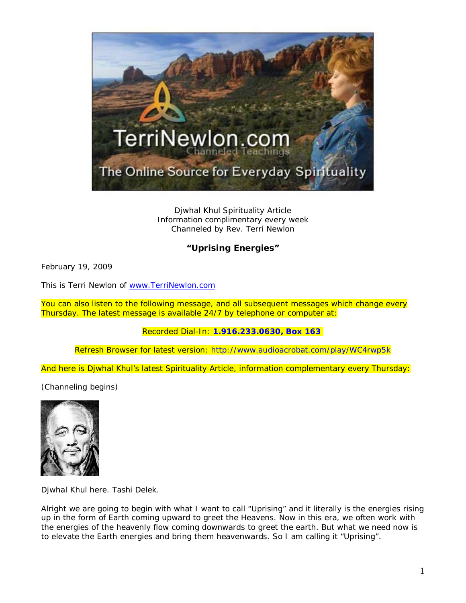

Djwhal Khul Spirituality Article Information complimentary every week Channeled by Rev. Terri Newlon

## **"Uprising Energies"**

February 19, 2009

This is Terri Newlon of [www.TerriNewlon.com](http://www.terrinewlon.com/)

You can also listen to the following message, and all subsequent messages which change every Thursday. The latest message is available 24/7 by telephone or computer at:

## Recorded Dial-In: **1.916.233.0630, Box 163**

Refresh Browser for latest version: <http://www.audioacrobat.com/play/WC4rwp5k>

And here is Djwhal Khul's latest Spirituality Article, information complementary every Thursday:

(Channeling begins)



Djwhal Khul here. Tashi Delek.

Alright we are going to begin with what I want to call "Uprising" and it literally is the energies rising up in the form of Earth coming upward to greet the Heavens. Now in this era, we often work with the energies of the heavenly flow coming downwards to greet the earth. But what we need now is to elevate the Earth energies and bring them heavenwards. So I am calling it "Uprising".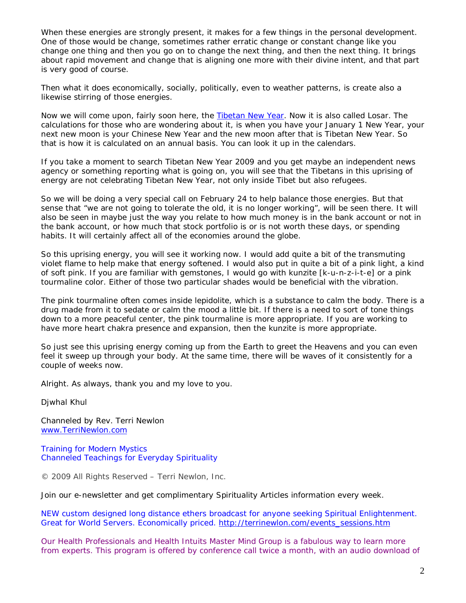When these energies are strongly present, it makes for a few things in the personal development. One of those would be change, sometimes rather erratic change or constant change like you change one thing and then you go on to change the next thing, and then the next thing. It brings about rapid movement and change that is aligning one more with their divine intent, and that part is very good of course.

Then what it does economically, socially, politically, even to weather patterns, is create also a likewise stirring of those energies.

Now we will come upon, fairly soon here, the [Tibetan New Year.](http://www.terrinewlon.com/Tibetan_New_Year.html) Now it is also called Losar. The calculations for those who are wondering about it, is when you have your January 1 New Year, your next new moon is your Chinese New Year and the new moon after that is Tibetan New Year. So that is how it is calculated on an annual basis. You can look it up in the calendars.

If you take a moment to search Tibetan New Year 2009 and you get maybe an independent news agency or something reporting what is going on, you will see that the Tibetans in this uprising of energy are not celebrating Tibetan New Year, not only inside Tibet but also refugees.

So we will be doing a very special call on February 24 to help balance those energies. But that sense that "we are not going to tolerate the old, it is no longer working", will be seen there. It will also be seen in maybe just the way you relate to how much money is in the bank account or not in the bank account, or how much that stock portfolio is or is not worth these days, or spending habits. It will certainly affect all of the economies around the globe.

So this uprising energy, you will see it working now. I would add quite a bit of the transmuting violet flame to help make that energy softened. I would also put in quite a bit of a pink light, a kind of soft pink. If you are familiar with gemstones, I would go with kunzite [k-u-n-z-i-t-e] or a pink tourmaline color. Either of those two particular shades would be beneficial with the vibration.

The pink tourmaline often comes inside lepidolite, which is a substance to calm the body. There is a drug made from it to sedate or calm the mood a little bit. If there is a need to sort of tone things down to a more peaceful center, the pink tourmaline is more appropriate. If you are working to have more heart chakra presence and expansion, then the kunzite is more appropriate.

So just see this uprising energy coming up from the Earth to greet the Heavens and you can even feel it sweep up through your body. At the same time, there will be waves of it consistently for a couple of weeks now.

Alright. As always, thank you and my love to you.

Djwhal Khul

Channeled by Rev. Terri Newlon [www.TerriNewlon.com](http://www.terrinewlon.com/)

Training for Modern Mystics [Channeled Teachings for Everyday Spirituality](http://www.terrinewlon.com/)

© 2009 All Rights Reserved – Terri Newlon, Inc.

Join our e-newsletter and get complimentary Spirituality Articles information every week.

NEW custom designed long distance ethers broadcast for anyone seeking Spiritual Enlightenment. Great for World Servers. Economically priced. [http://terrinewlon.com/events\\_sessions.htm](http://terrinewlon.com/events_sessions.htm)

Our Health Professionals and Health Intuits Master Mind Group is a fabulous way to learn more from experts. This program is offered by conference call twice a month, with an audio download of